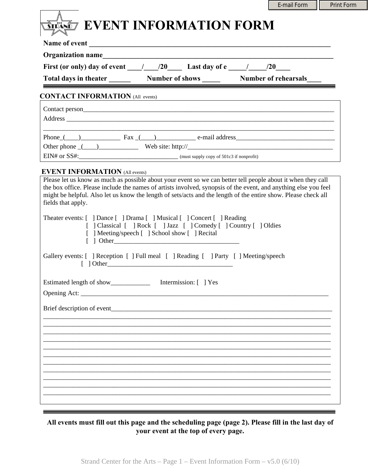|                                                                                                                                                                                                                                                                                                                                                                                                                                                                                                                                                                                                                                                                                                                                                                                                                 | E-mail Form | <b>Print Form</b> |
|-----------------------------------------------------------------------------------------------------------------------------------------------------------------------------------------------------------------------------------------------------------------------------------------------------------------------------------------------------------------------------------------------------------------------------------------------------------------------------------------------------------------------------------------------------------------------------------------------------------------------------------------------------------------------------------------------------------------------------------------------------------------------------------------------------------------|-------------|-------------------|
| <b>STANDE EVENT INFORMATION FORM</b>                                                                                                                                                                                                                                                                                                                                                                                                                                                                                                                                                                                                                                                                                                                                                                            |             |                   |
| Name of event                                                                                                                                                                                                                                                                                                                                                                                                                                                                                                                                                                                                                                                                                                                                                                                                   |             |                   |
|                                                                                                                                                                                                                                                                                                                                                                                                                                                                                                                                                                                                                                                                                                                                                                                                                 |             |                   |
| First (or only) day of event $\frac{1}{20}$ /20 Last day of e $\frac{1}{20}$ /20                                                                                                                                                                                                                                                                                                                                                                                                                                                                                                                                                                                                                                                                                                                                |             |                   |
| Total days in theater Number of shows Number of rehearsals                                                                                                                                                                                                                                                                                                                                                                                                                                                                                                                                                                                                                                                                                                                                                      |             |                   |
| <b>CONTACT INFORMATION (All events)</b>                                                                                                                                                                                                                                                                                                                                                                                                                                                                                                                                                                                                                                                                                                                                                                         |             |                   |
|                                                                                                                                                                                                                                                                                                                                                                                                                                                                                                                                                                                                                                                                                                                                                                                                                 |             |                   |
|                                                                                                                                                                                                                                                                                                                                                                                                                                                                                                                                                                                                                                                                                                                                                                                                                 |             |                   |
| <u> 1990 - Jan Stein Stein Stein Stein Stein Stein Stein Stein Stein Stein Stein Stein Stein Stein Stein Stein S</u>                                                                                                                                                                                                                                                                                                                                                                                                                                                                                                                                                                                                                                                                                            |             |                   |
|                                                                                                                                                                                                                                                                                                                                                                                                                                                                                                                                                                                                                                                                                                                                                                                                                 |             |                   |
|                                                                                                                                                                                                                                                                                                                                                                                                                                                                                                                                                                                                                                                                                                                                                                                                                 |             |                   |
| <b>EVENT INFORMATION (All events)</b><br><b>EXAMPLE AND CONVERTION</b> (All events)<br>Please let us know as much as possible about your event so we can better tell people about it when they call                                                                                                                                                                                                                                                                                                                                                                                                                                                                                                                                                                                                             |             |                   |
| fields that apply.<br>Theater events: [ ] Dance [ ] Drama [ ] Musical [ ] Concert [ ] Reading<br>[ ] Classical [ ] Rock [ ] Jazz [ ] Comedy [ ] Country [ ] Oldies<br>[ ] Meeting/speech [ ] School show [ ] Recital<br>Gallery events: [ ] Reception [ ] Full meal [ ] Reading [ ] Party [ ] Meeting/speech<br>$\begin{tabular}{ c c c c c } \hline & Other & \textbf{0} & Other & \textbf{0} & \textbf{0} & \textbf{0} & \textbf{0} & \textbf{0} & \textbf{0} & \textbf{0} & \textbf{0} & \textbf{0} & \textbf{0} & \textbf{0} & \textbf{0} & \textbf{0} & \textbf{0} & \textbf{0} & \textbf{0} & \textbf{0} & \textbf{0} & \textbf{0} & \textbf{0} & \textbf{0} & \textbf{0} & \textbf{0} & \textbf{0} & \textbf{0} & \textbf{0} & \textbf$<br>Estimated length of show____________<br>Intermission: [ ] Yes |             |                   |
|                                                                                                                                                                                                                                                                                                                                                                                                                                                                                                                                                                                                                                                                                                                                                                                                                 |             |                   |
| Brief description of event                                                                                                                                                                                                                                                                                                                                                                                                                                                                                                                                                                                                                                                                                                                                                                                      |             |                   |
|                                                                                                                                                                                                                                                                                                                                                                                                                                                                                                                                                                                                                                                                                                                                                                                                                 |             |                   |
|                                                                                                                                                                                                                                                                                                                                                                                                                                                                                                                                                                                                                                                                                                                                                                                                                 |             |                   |
|                                                                                                                                                                                                                                                                                                                                                                                                                                                                                                                                                                                                                                                                                                                                                                                                                 |             |                   |
|                                                                                                                                                                                                                                                                                                                                                                                                                                                                                                                                                                                                                                                                                                                                                                                                                 |             |                   |
|                                                                                                                                                                                                                                                                                                                                                                                                                                                                                                                                                                                                                                                                                                                                                                                                                 |             |                   |
|                                                                                                                                                                                                                                                                                                                                                                                                                                                                                                                                                                                                                                                                                                                                                                                                                 |             |                   |
|                                                                                                                                                                                                                                                                                                                                                                                                                                                                                                                                                                                                                                                                                                                                                                                                                 |             |                   |
|                                                                                                                                                                                                                                                                                                                                                                                                                                                                                                                                                                                                                                                                                                                                                                                                                 |             |                   |
|                                                                                                                                                                                                                                                                                                                                                                                                                                                                                                                                                                                                                                                                                                                                                                                                                 |             |                   |

**All events must fill out this page and the scheduling page (page 2). Please fill in the last day of your event at the top of every page.**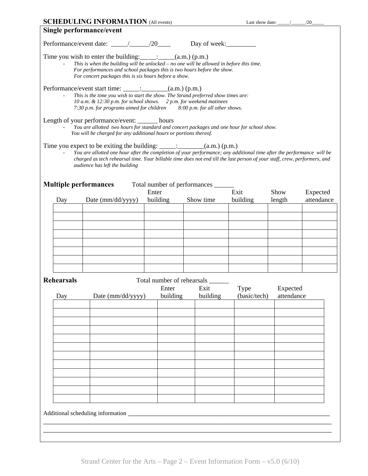|                                                                                                                                                                                                                                                                                                      | <b>SCHEDULING INFORMATION (All events)</b>                                                                                                                                                                                                                                                                                                                                     |                   |                                           | Last show date: $\frac{\qquad}{\qquad}$ /20 |                |                        |  |  |  |
|------------------------------------------------------------------------------------------------------------------------------------------------------------------------------------------------------------------------------------------------------------------------------------------------------|--------------------------------------------------------------------------------------------------------------------------------------------------------------------------------------------------------------------------------------------------------------------------------------------------------------------------------------------------------------------------------|-------------------|-------------------------------------------|---------------------------------------------|----------------|------------------------|--|--|--|
| Single performance/event                                                                                                                                                                                                                                                                             |                                                                                                                                                                                                                                                                                                                                                                                |                   |                                           |                                             |                |                        |  |  |  |
|                                                                                                                                                                                                                                                                                                      |                                                                                                                                                                                                                                                                                                                                                                                |                   |                                           |                                             |                |                        |  |  |  |
| Time you wish to enter the building: $\[\_$ : $\[\_$ (a.m.) (p.m.)<br>This is when the building will be unlocked $-$ no one will be allowed in before this time.<br>For performances and school packages this is two hours before the show.<br>For concert packages this is six hours before a show. |                                                                                                                                                                                                                                                                                                                                                                                |                   |                                           |                                             |                |                        |  |  |  |
| Performance/event start time: ______: _________(a.m.) (p.m.)<br>This is the time you wish to start the show. The Strand preferred show times are:<br>10 a.m. & 12:30 p.m. for school shows. 2 p.m. for weekend matinees<br>7:30 p.m. for programs aimed for children 8:00 p.m. for all other shows.  |                                                                                                                                                                                                                                                                                                                                                                                |                   |                                           |                                             |                |                        |  |  |  |
|                                                                                                                                                                                                                                                                                                      | Length of your performance/event: _______ hours<br>You are allotted two hours for standard and concert packages and one hour for school show.<br>You will be charged for any additional hours or portions thereof.                                                                                                                                                             |                   |                                           |                                             |                |                        |  |  |  |
|                                                                                                                                                                                                                                                                                                      | Time you expect to be exiting the building: $\_\_\_\_\_\_\_\_\_\_\_\_\_ (a.m.) (p.m.)$<br>You are allotted one hour after the completion of your performance; any additional time after the performance will be<br>charged as tech rehearsal time. Your billable time does not end till the last person of your staff, crew, performers, and<br>audience has left the building |                   |                                           |                                             |                |                        |  |  |  |
| <b>Multiple performances</b>                                                                                                                                                                                                                                                                         |                                                                                                                                                                                                                                                                                                                                                                                |                   | Total number of performances _____        |                                             |                |                        |  |  |  |
| Day                                                                                                                                                                                                                                                                                                  | Date (mm/dd/yyyy)                                                                                                                                                                                                                                                                                                                                                              | Enter<br>building | Show time                                 | Exit<br>building                            | Show<br>length | Expected<br>attendance |  |  |  |
|                                                                                                                                                                                                                                                                                                      |                                                                                                                                                                                                                                                                                                                                                                                |                   |                                           |                                             |                |                        |  |  |  |
|                                                                                                                                                                                                                                                                                                      |                                                                                                                                                                                                                                                                                                                                                                                |                   |                                           |                                             |                |                        |  |  |  |
|                                                                                                                                                                                                                                                                                                      |                                                                                                                                                                                                                                                                                                                                                                                |                   |                                           |                                             |                |                        |  |  |  |
|                                                                                                                                                                                                                                                                                                      |                                                                                                                                                                                                                                                                                                                                                                                |                   |                                           |                                             |                |                        |  |  |  |
|                                                                                                                                                                                                                                                                                                      |                                                                                                                                                                                                                                                                                                                                                                                |                   |                                           |                                             |                |                        |  |  |  |
|                                                                                                                                                                                                                                                                                                      |                                                                                                                                                                                                                                                                                                                                                                                |                   |                                           |                                             |                |                        |  |  |  |
| <b>Rehearsals</b>                                                                                                                                                                                                                                                                                    |                                                                                                                                                                                                                                                                                                                                                                                | Enter             | Total number of rehearsals ______<br>Exit | Type                                        | Expected       |                        |  |  |  |
| Day                                                                                                                                                                                                                                                                                                  | Date (mm/dd/yyyy)                                                                                                                                                                                                                                                                                                                                                              | building          | building                                  | (basic/tech)                                | attendance     |                        |  |  |  |
|                                                                                                                                                                                                                                                                                                      |                                                                                                                                                                                                                                                                                                                                                                                |                   |                                           |                                             |                |                        |  |  |  |
|                                                                                                                                                                                                                                                                                                      |                                                                                                                                                                                                                                                                                                                                                                                |                   |                                           |                                             |                |                        |  |  |  |
|                                                                                                                                                                                                                                                                                                      |                                                                                                                                                                                                                                                                                                                                                                                |                   |                                           |                                             |                |                        |  |  |  |
|                                                                                                                                                                                                                                                                                                      |                                                                                                                                                                                                                                                                                                                                                                                |                   |                                           |                                             |                |                        |  |  |  |
|                                                                                                                                                                                                                                                                                                      |                                                                                                                                                                                                                                                                                                                                                                                |                   |                                           |                                             |                |                        |  |  |  |
|                                                                                                                                                                                                                                                                                                      |                                                                                                                                                                                                                                                                                                                                                                                |                   |                                           |                                             |                |                        |  |  |  |
|                                                                                                                                                                                                                                                                                                      |                                                                                                                                                                                                                                                                                                                                                                                |                   |                                           |                                             |                |                        |  |  |  |
|                                                                                                                                                                                                                                                                                                      |                                                                                                                                                                                                                                                                                                                                                                                |                   |                                           |                                             |                |                        |  |  |  |
|                                                                                                                                                                                                                                                                                                      |                                                                                                                                                                                                                                                                                                                                                                                |                   |                                           |                                             |                |                        |  |  |  |
| Additional scheduling information                                                                                                                                                                                                                                                                    |                                                                                                                                                                                                                                                                                                                                                                                |                   |                                           |                                             |                |                        |  |  |  |
|                                                                                                                                                                                                                                                                                                      |                                                                                                                                                                                                                                                                                                                                                                                |                   |                                           |                                             |                |                        |  |  |  |
|                                                                                                                                                                                                                                                                                                      |                                                                                                                                                                                                                                                                                                                                                                                |                   |                                           |                                             |                |                        |  |  |  |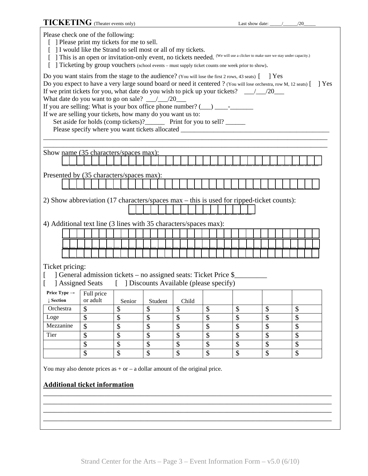**TICKETING** (Theater events only) Last show date:  $\frac{1}{20}$ Please check one of the following: [ ] Please print my tickets for me to sell. [ ] I would like the Strand to sell most or all of my tickets. [ ] This is an open or invitation-only event, no tickets needed. (We will use a clicker to make sure we stay under capacity.) [ ] Ticketing by group vouchers (school events – must supply ticket counts one week prior to show). Do you want stairs from the stage to the audience? (You will lose the first 2 rows, 43 seats) [ ] Yes Do you expect to have a very large sound board or need it centered ? (You will lose orchestra, row M, 12 seats)  $\begin{bmatrix} \phantom{a} \end{bmatrix}$  Yes If we print tickets for you, what date do you wish to pick up your tickets? \_\_\_/\_\_\_/20\_\_\_ What date do you want to go on sale? \_\_\_/\_\_\_/20\_\_\_ If you are selling: What is your box office phone number?  $(\_\_) \_\_$ If we are selling your tickets, how many do you want us to: Set aside for holds (comp tickets)?\_\_\_\_\_\_\_ Print for you to sell? \_\_\_\_\_\_ Please specify where you want tickets allocated \_\_\_\_\_\_\_\_\_\_\_\_\_\_\_\_\_\_\_\_\_\_\_\_\_\_\_\_\_\_\_\_\_ \_\_\_\_\_\_\_\_\_\_\_\_\_\_\_\_\_\_\_\_\_\_\_\_\_\_\_\_\_\_\_\_\_\_\_\_\_\_\_\_\_\_\_\_\_\_\_\_\_\_\_\_\_\_\_\_\_\_\_\_\_\_\_\_\_\_\_\_\_\_\_\_\_\_\_\_\_\_\_\_\_\_\_\_\_\_ \_\_\_\_\_\_\_\_\_\_\_\_\_\_\_\_\_\_\_\_\_\_\_\_\_\_\_\_\_\_\_\_\_\_\_\_\_\_\_\_\_\_\_\_\_\_\_\_\_\_\_\_\_\_\_\_\_\_\_\_\_\_\_\_\_\_\_\_\_\_\_\_\_\_\_\_\_\_\_\_\_\_\_\_\_\_ Show name (35 characters/spaces max): **\_\_\_ \_\_\_ \_\_\_ \_\_\_ \_\_\_ \_\_\_ \_\_\_ \_\_\_ \_\_\_ \_\_\_ \_\_\_ \_\_\_ \_\_\_ \_\_\_ \_\_\_ \_\_\_ \_\_\_ \_\_\_ \_\_\_ \_\_\_ \_\_\_ \_\_\_ \_\_\_ \_\_\_ \_\_\_ \_\_\_ \_\_\_ \_\_\_ \_\_\_ \_\_\_ \_\_\_ \_\_\_ \_\_\_ \_\_\_ \_\_\_** Presented by (35 characters/spaces max): **\_\_\_ \_\_\_ \_\_\_ \_\_\_ \_\_\_ \_\_\_ \_\_\_ \_\_\_ \_\_\_ \_\_\_ \_\_\_ \_\_\_ \_\_\_ \_\_\_ \_\_\_ \_\_\_ \_\_\_ \_\_\_ \_\_\_ \_\_\_ \_\_\_ \_\_\_ \_\_\_ \_\_\_ \_\_\_ \_\_\_ \_\_\_ \_\_\_ \_\_\_ \_\_\_ \_\_\_ \_\_\_ \_\_\_ \_\_\_ \_\_\_** 2) Show abbreviation (17 characters/spaces max – this is used for ripped-ticket counts): **\_\_\_ \_\_\_ \_\_\_ \_\_\_ \_\_\_ \_\_\_ \_\_\_ \_\_\_ \_\_\_ \_\_\_\_\_\_ \_\_\_ \_\_\_ \_\_\_ \_\_\_ \_\_\_ \_\_\_**  4) Additional text line (3 lines with 35 characters/spaces max): **\_\_\_ \_\_\_ \_\_\_ \_\_\_ \_\_\_ \_\_\_ \_\_\_ \_\_\_ \_\_\_ \_\_\_ \_\_\_ \_\_\_ \_\_\_ \_\_\_ \_\_\_ \_\_\_ \_\_\_ \_\_\_ \_\_\_ \_\_\_ \_\_\_ \_\_\_ \_\_\_ \_\_\_ \_\_\_ \_\_\_ \_\_\_ \_\_\_ \_\_\_ \_\_\_ \_\_\_ \_\_\_ \_\_\_ \_\_\_ \_\_\_ \_\_\_ \_\_\_ \_\_\_ \_\_\_ \_\_\_ \_\_\_ \_\_\_ \_\_\_ \_\_\_ \_\_\_ \_\_\_ \_\_\_ \_\_\_ \_\_\_ \_\_\_ \_\_\_ \_\_\_ \_\_\_ \_\_\_ \_\_\_ \_\_\_ \_\_\_ \_\_\_ \_\_\_ \_\_\_ \_\_\_ \_\_\_ \_\_\_ \_\_\_ \_\_\_ \_\_\_ \_\_\_ \_\_\_ \_\_\_ \_\_\_ \_\_\_ \_\_\_ \_\_\_ \_\_\_ \_\_\_ \_\_\_ \_\_\_ \_\_\_ \_\_\_ \_\_\_ \_\_\_ \_\_\_ \_\_\_ \_\_\_ \_\_\_ \_\_\_ \_\_\_ \_\_\_ \_\_\_ \_\_\_ \_\_\_ \_\_\_ \_\_\_ \_\_\_ \_\_\_ \_\_\_ \_\_\_ \_\_\_ \_\_\_ \_\_\_ \_\_\_ \_\_\_ \_\_\_ \_\_\_ \_\_\_** Ticket pricing: [ ] General admission tickets – no assigned seats: Ticket Price \$ [ ] Assigned Seats [ ] Discounts Available (please specify)  $\overline{\phantom{a}}$ You may also denote prices as  $+$  or  $-$  a dollar amount of the original price. **Additional ticket information** \_\_\_\_\_\_\_\_\_\_\_\_\_\_\_\_\_\_\_\_\_\_\_\_\_\_\_\_\_\_\_\_\_\_\_\_\_\_\_\_\_\_\_\_\_\_\_\_\_\_\_\_\_\_\_\_\_\_\_\_\_\_\_\_\_\_\_\_\_\_\_\_\_\_\_\_\_\_\_\_ \_\_\_\_\_\_\_\_\_\_\_\_\_\_\_\_\_\_\_\_\_\_\_\_\_\_\_\_\_\_\_\_\_\_\_\_\_\_\_\_\_\_\_\_\_\_\_\_\_\_\_\_\_\_\_\_\_\_\_\_\_\_\_\_\_\_\_\_\_\_\_\_\_\_\_\_\_\_\_\_ \_\_\_\_\_\_\_\_\_\_\_\_\_\_\_\_\_\_\_\_\_\_\_\_\_\_\_\_\_\_\_\_\_\_\_\_\_\_\_\_\_\_\_\_\_\_\_\_\_\_\_\_\_\_\_\_\_\_\_\_\_\_\_\_\_\_\_\_\_\_\_\_\_\_\_\_\_\_\_\_ **Price Type**  $\rightarrow$  **Full price** or adult | Senior | Student | Child **↓ Section**  Orchestra \$ \$ \$ \$ \$ \$ \$ \$ Loge \$ \$ \$ \$ \$ \$ \$ \$ Mezzanine \$ \$ \$ \$ \$ \$ \$ \$ Tier | \$ | \$ | \$ | \$ | \$ | \$ | \$ | \$ \$ \$ \$ \$ \$ \$ \$ \$ \$ \$ \$ \$ \$ \$ \$ \$

\_\_\_\_\_\_\_\_\_\_\_\_\_\_\_\_\_\_\_\_\_\_\_\_\_\_\_\_\_\_\_\_\_\_\_\_\_\_\_\_\_\_\_\_\_\_\_\_\_\_\_\_\_\_\_\_\_\_\_\_\_\_\_\_\_\_\_\_\_\_\_\_\_\_\_\_\_\_\_\_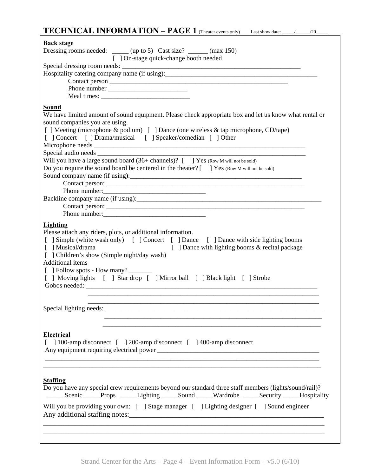# **TECHNICAL INFORMATION – PAGE 1** (Theater events only) Last show date: \_\_\_\_\_/\_\_\_\_\_\_/20\_\_\_\_\_

| <b>Back stage</b>                                                                                                                                                                                                                                                                                                                                                                                                                                                                                     |
|-------------------------------------------------------------------------------------------------------------------------------------------------------------------------------------------------------------------------------------------------------------------------------------------------------------------------------------------------------------------------------------------------------------------------------------------------------------------------------------------------------|
| Dressing rooms needed: _____ (up to 5) Cast size? _____ (max 150)                                                                                                                                                                                                                                                                                                                                                                                                                                     |
| [ ] On-stage quick-change booth needed                                                                                                                                                                                                                                                                                                                                                                                                                                                                |
|                                                                                                                                                                                                                                                                                                                                                                                                                                                                                                       |
|                                                                                                                                                                                                                                                                                                                                                                                                                                                                                                       |
|                                                                                                                                                                                                                                                                                                                                                                                                                                                                                                       |
|                                                                                                                                                                                                                                                                                                                                                                                                                                                                                                       |
|                                                                                                                                                                                                                                                                                                                                                                                                                                                                                                       |
| <b>Sound</b><br>We have limited amount of sound equipment. Please check appropriate box and let us know what rental or<br>sound companies you are using.<br>[ ] Meeting (microphone & podium) [ ] Dance (one wireless & tap microphone, CD/tape)<br>[ ] Concert [ ] Drama/musical [ ] Speaker/comedian [ ] Other<br>Will you have a large sound board (36+ channels)? [ ] Yes (Row M will not be sold)<br>Do you require the sound board be centered in the theater? [ ] Yes (Row M will not be sold) |
|                                                                                                                                                                                                                                                                                                                                                                                                                                                                                                       |
|                                                                                                                                                                                                                                                                                                                                                                                                                                                                                                       |
|                                                                                                                                                                                                                                                                                                                                                                                                                                                                                                       |
| Lighting<br>Please attach any riders, plots, or additional information.<br>[ ] Simple (white wash only) [ ] Concert [ ] Dance [ ] Dance with side lighting booms<br>[ ] Dance with lighting booms & recital package<br>[ ] Musical/drama<br>[ ] Children's show (Simple night/day wash)<br>Additional items<br>[ ] Follow spots - How many? _______<br>[ ] Moving lights [ ] Star drop [ ] Mirror ball [ ] Black light [ ] Strobe                                                                     |
| Special lighting needs:                                                                                                                                                                                                                                                                                                                                                                                                                                                                               |
|                                                                                                                                                                                                                                                                                                                                                                                                                                                                                                       |
| <b>Electrical</b><br>[ ] 100-amp disconnect [ ] 200-amp disconnect [ ] 400-amp disconnect                                                                                                                                                                                                                                                                                                                                                                                                             |
|                                                                                                                                                                                                                                                                                                                                                                                                                                                                                                       |
| <b>Staffing</b><br>Do you have any special crew requirements beyond our standard three staff members (lights/sound/rail)?<br>______ Scenic _____Props _____Lighting _____Sound _____Wardrobe _____Security _____Hospitality<br>Will you be providing your own: [ ] Stage manager [ ] Lighting designer [ ] Sound engineer                                                                                                                                                                             |
|                                                                                                                                                                                                                                                                                                                                                                                                                                                                                                       |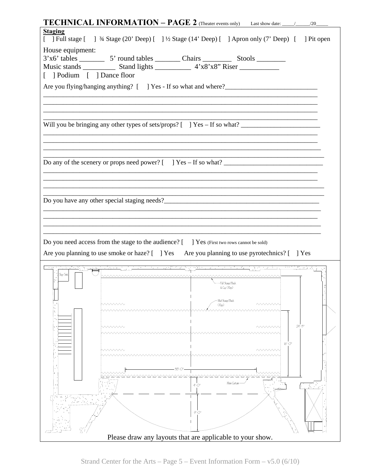| <b>Staging</b>             |      |                                                                                            | [ ] Full stage [ ] 3/4 Stage (20' Deep) [ ] 1/2 Stage (14' Deep) [ ] Apron only (7' Deep) [ ] Pit open                                                                                                                               |                                                        |
|----------------------------|------|--------------------------------------------------------------------------------------------|--------------------------------------------------------------------------------------------------------------------------------------------------------------------------------------------------------------------------------------|--------------------------------------------------------|
| House equipment:           |      |                                                                                            |                                                                                                                                                                                                                                      |                                                        |
|                            |      |                                                                                            |                                                                                                                                                                                                                                      |                                                        |
|                            |      |                                                                                            |                                                                                                                                                                                                                                      |                                                        |
| [ ] Podium [ ] Dance floor |      |                                                                                            |                                                                                                                                                                                                                                      |                                                        |
|                            |      |                                                                                            |                                                                                                                                                                                                                                      |                                                        |
|                            |      |                                                                                            |                                                                                                                                                                                                                                      |                                                        |
|                            |      |                                                                                            |                                                                                                                                                                                                                                      |                                                        |
|                            |      |                                                                                            |                                                                                                                                                                                                                                      |                                                        |
|                            |      |                                                                                            | Will you be bringing any other types of sets/props? [ ] Yes - If so what? __________________________                                                                                                                                 |                                                        |
|                            |      |                                                                                            |                                                                                                                                                                                                                                      |                                                        |
|                            |      |                                                                                            |                                                                                                                                                                                                                                      |                                                        |
|                            |      |                                                                                            |                                                                                                                                                                                                                                      |                                                        |
|                            |      |                                                                                            | Do any of the scenery or props need power? $\begin{bmatrix} 1 \\ 2 \end{bmatrix}$ Yes – If so what?                                                                                                                                  |                                                        |
|                            |      |                                                                                            |                                                                                                                                                                                                                                      |                                                        |
|                            |      |                                                                                            |                                                                                                                                                                                                                                      |                                                        |
|                            |      |                                                                                            |                                                                                                                                                                                                                                      |                                                        |
|                            |      |                                                                                            |                                                                                                                                                                                                                                      |                                                        |
|                            |      |                                                                                            |                                                                                                                                                                                                                                      |                                                        |
|                            |      |                                                                                            |                                                                                                                                                                                                                                      |                                                        |
|                            |      |                                                                                            |                                                                                                                                                                                                                                      |                                                        |
|                            |      |                                                                                            |                                                                                                                                                                                                                                      |                                                        |
|                            |      |                                                                                            |                                                                                                                                                                                                                                      |                                                        |
|                            |      | Do you need access from the stage to the audience? [ ] Yes (First two rows cannot be sold) |                                                                                                                                                                                                                                      |                                                        |
|                            |      |                                                                                            | Are you planning to use smoke or haze? [ ] Yes Are you planning to use pyrotechnics? [ ] Yes                                                                                                                                         |                                                        |
|                            |      |                                                                                            | <u>t film an the complete security of the fact fact that the constant film and complete security and an international complete security of the complete security of the complete security of the complete security of the comple</u> |                                                        |
| Slop Sirk                  |      |                                                                                            |                                                                                                                                                                                                                                      |                                                        |
|                            |      |                                                                                            | - Full Stage Clack<br>& Cyc (Rep)                                                                                                                                                                                                    |                                                        |
|                            |      |                                                                                            |                                                                                                                                                                                                                                      |                                                        |
|                            | wwww | (Rap)                                                                                      | Mid Stage Clack<br>wwww                                                                                                                                                                                                              |                                                        |
|                            |      |                                                                                            |                                                                                                                                                                                                                                      |                                                        |
|                            |      |                                                                                            | $\rightsquigarrow\rightsquigarrow\rightsquigarrow$                                                                                                                                                                                   | 24 - 키                                                 |
|                            | wwww |                                                                                            |                                                                                                                                                                                                                                      |                                                        |
|                            |      |                                                                                            | $16'$ -O'                                                                                                                                                                                                                            |                                                        |
|                            | wwww |                                                                                            | wwww                                                                                                                                                                                                                                 |                                                        |
|                            |      |                                                                                            |                                                                                                                                                                                                                                      |                                                        |
|                            |      | 38-O'                                                                                      |                                                                                                                                                                                                                                      |                                                        |
|                            |      |                                                                                            |                                                                                                                                                                                                                                      |                                                        |
|                            |      | $4^{\circ}$ -O                                                                             | Man Curtain                                                                                                                                                                                                                          | $\overline{\mathcal{L}}$ , $\mathcal{L}_{\mathcal{L}}$ |
| ÷.<br>79.                  |      |                                                                                            |                                                                                                                                                                                                                                      |                                                        |
|                            |      |                                                                                            |                                                                                                                                                                                                                                      |                                                        |
|                            |      | $9 - O$                                                                                    |                                                                                                                                                                                                                                      |                                                        |
|                            |      |                                                                                            |                                                                                                                                                                                                                                      |                                                        |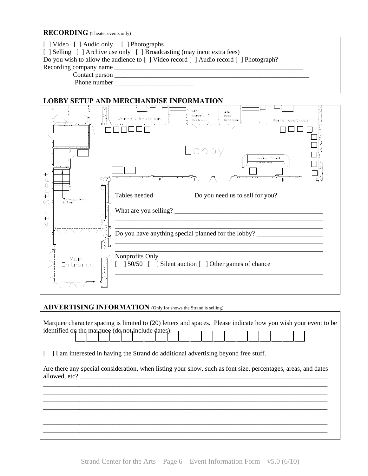#### **RECORDING** (Theater events only)

| [] Video [] Audio only [] Photographs<br>[ ] Selling [ ] Archive use only [ ] Broadcasting (may incur extra fees) |
|-------------------------------------------------------------------------------------------------------------------|
| Do you wish to allow the audience to [] Video record [] Audio record [] Photograph?                               |
|                                                                                                                   |
| Contact person                                                                                                    |
| Phone number                                                                                                      |
|                                                                                                                   |



#### **ADVERTISING INFORMATION** (Only for shows the Strand is selling)

|                                                   |  |  |  |  |  |  |  |  |  |  | Marquee character spacing is limited to (20) letters and spaces. Please indicate how you wish your event to be |
|---------------------------------------------------|--|--|--|--|--|--|--|--|--|--|----------------------------------------------------------------------------------------------------------------|
| identified on the margues (do not include dates): |  |  |  |  |  |  |  |  |  |  |                                                                                                                |

[ ] I am interested in having the Strand do additional advertising beyond free stuff.

Are there any special consideration, when listing your show, such as font size, percentages, areas, and dates allowed, etc? \_\_\_\_\_\_\_\_\_\_\_\_\_\_\_\_\_\_\_\_\_\_\_\_\_\_\_\_\_\_\_\_\_\_\_\_\_\_\_\_\_\_\_\_\_\_\_\_\_\_\_\_\_\_\_\_\_\_\_\_\_\_\_\_\_\_\_\_\_\_\_\_\_\_\_ \_\_\_\_\_\_\_\_\_\_\_\_\_\_\_\_\_\_\_\_\_\_\_\_\_\_\_\_\_\_\_\_\_\_\_\_\_\_\_\_\_\_\_\_\_\_\_\_\_\_\_\_\_\_\_\_\_\_\_\_\_\_\_\_\_\_\_\_\_\_\_\_\_\_\_\_\_\_\_\_\_\_\_\_\_\_

\_\_\_\_\_\_\_\_\_\_\_\_\_\_\_\_\_\_\_\_\_\_\_\_\_\_\_\_\_\_\_\_\_\_\_\_\_\_\_\_\_\_\_\_\_\_\_\_\_\_\_\_\_\_\_\_\_\_\_\_\_\_\_\_\_\_\_\_\_\_\_\_\_\_\_\_\_\_\_\_\_\_\_\_\_\_ \_\_\_\_\_\_\_\_\_\_\_\_\_\_\_\_\_\_\_\_\_\_\_\_\_\_\_\_\_\_\_\_\_\_\_\_\_\_\_\_\_\_\_\_\_\_\_\_\_\_\_\_\_\_\_\_\_\_\_\_\_\_\_\_\_\_\_\_\_\_\_\_\_\_\_\_\_\_\_\_\_\_\_\_\_\_ \_\_\_\_\_\_\_\_\_\_\_\_\_\_\_\_\_\_\_\_\_\_\_\_\_\_\_\_\_\_\_\_\_\_\_\_\_\_\_\_\_\_\_\_\_\_\_\_\_\_\_\_\_\_\_\_\_\_\_\_\_\_\_\_\_\_\_\_\_\_\_\_\_\_\_\_\_\_\_\_\_\_\_\_\_\_ \_\_\_\_\_\_\_\_\_\_\_\_\_\_\_\_\_\_\_\_\_\_\_\_\_\_\_\_\_\_\_\_\_\_\_\_\_\_\_\_\_\_\_\_\_\_\_\_\_\_\_\_\_\_\_\_\_\_\_\_\_\_\_\_\_\_\_\_\_\_\_\_\_\_\_\_\_\_\_\_\_\_\_\_\_\_ \_\_\_\_\_\_\_\_\_\_\_\_\_\_\_\_\_\_\_\_\_\_\_\_\_\_\_\_\_\_\_\_\_\_\_\_\_\_\_\_\_\_\_\_\_\_\_\_\_\_\_\_\_\_\_\_\_\_\_\_\_\_\_\_\_\_\_\_\_\_\_\_\_\_\_\_\_\_\_\_\_\_\_\_\_\_ \_\_\_\_\_\_\_\_\_\_\_\_\_\_\_\_\_\_\_\_\_\_\_\_\_\_\_\_\_\_\_\_\_\_\_\_\_\_\_\_\_\_\_\_\_\_\_\_\_\_\_\_\_\_\_\_\_\_\_\_\_\_\_\_\_\_\_\_\_\_\_\_\_\_\_\_\_\_\_\_\_\_\_\_\_\_